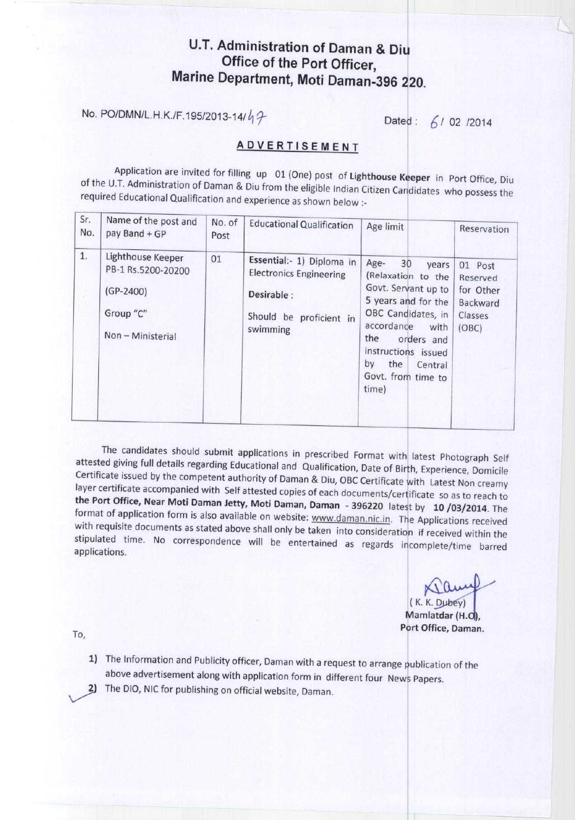## U.T. Administration of Daman & Diu Office of the Port Officer, **Marine Department**, **Moti Daman** -396 220.

**No. PO/DMN/L.H.K./F.195/2013-14/** $\frac{1}{2}$  **Dated: 6/02/2014** 

## **ADVERTISEMENT**

Application are invited for filling up 01 (One) post of **Lighthouse Keeper** in Port Office, Diu of the U.T. Administration of Daman & Diu from the eligible Indian Citizen Candidates who possess the required Educational Qualification and experience as shown below :-

| Sr.<br>No. | Name of the post and<br>pay Band + GP                                                  | No. of<br>Post | <b>Educational Qualification</b>                                                                                 | Age limit                                                                                                                                                                                                                              | Reservation                                                      |
|------------|----------------------------------------------------------------------------------------|----------------|------------------------------------------------------------------------------------------------------------------|----------------------------------------------------------------------------------------------------------------------------------------------------------------------------------------------------------------------------------------|------------------------------------------------------------------|
| 1.         | Lighthouse Keeper<br>PB-1 Rs.5200-20200<br>$(GP-2400)$<br>Group "C"<br>Non-Ministerial | 01             | Essential:- 1) Diploma in<br><b>Electronics Engineering</b><br>Desirable:<br>Should be proficient in<br>swimming | Age-<br>30<br>years<br>(Relaxation to the<br>Govt. Servant up to<br>5 years and for the<br>OBC Candidates, in<br>accordance<br>with<br>the<br>orders and<br>instructions issued<br>by<br>the<br>Central<br>Govt. from time to<br>time) | 01 Post<br>Reserved<br>for Other<br>Backward<br>Classes<br>(OBC) |

The candidates should submit applications in prescribed Format with latest Photograph Self attested giving full details regarding Educational and Qualification, Date of Birth, Experience, Domicile Certificate issued by the competent authority of Daman & Diu, OBC Certificate with Latest Non creamy layer certificate accompanied with Self attested copies of each documents/certificate so as to reach to **the Port Office**, **Near Moti Daman** Jetty, **Moti Daman**, **Daman** - **396220 latest** by 10 /03/2014. The format of application form is also available on website: www.daman.nic.in. The Applications received with requisite documents as stated above shall only be taken into consideration if received within the stipulated time. No correspondence will be entertained as regards incomplete/time barred applications.

 $(K. K. Dubey)$ Mamlatdar (H.O). **Port Office, Daman.**

To,

- 1) The Information and Publicity officer, Daman with a request to arrange publication of the above advertisement along with application form in different four News Papers.
- The DIO, NIC for publishing on official website, **Daman.**